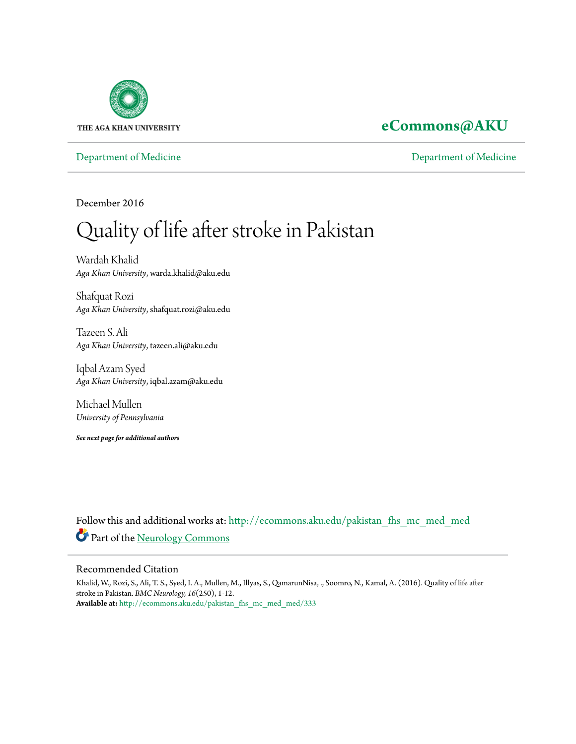

## [Department of Medicine](http://ecommons.aku.edu/pakistan_fhs_mc_med_med?utm_source=ecommons.aku.edu%2Fpakistan_fhs_mc_med_med%2F333&utm_medium=PDF&utm_campaign=PDFCoverPages) [Department of Medicine](http://ecommons.aku.edu/pakistan_fhs_mc_med?utm_source=ecommons.aku.edu%2Fpakistan_fhs_mc_med_med%2F333&utm_medium=PDF&utm_campaign=PDFCoverPages)

## **[eCommons@AKU](http://ecommons.aku.edu?utm_source=ecommons.aku.edu%2Fpakistan_fhs_mc_med_med%2F333&utm_medium=PDF&utm_campaign=PDFCoverPages)**

December 2016

# Quality of life after stroke in Pakistan

Wardah Khalid *Aga Khan University*, warda.khalid@aku.edu

Shafquat Rozi *Aga Khan University*, shafquat.rozi@aku.edu

Tazeen S. Ali *Aga Khan University*, tazeen.ali@aku.edu

Iqbal Azam Syed *Aga Khan University*, iqbal.azam@aku.edu

Michael Mullen *University of Pennsylvania*

*See next page for additional authors*

Follow this and additional works at: [http://ecommons.aku.edu/pakistan\\_fhs\\_mc\\_med\\_med](http://ecommons.aku.edu/pakistan_fhs_mc_med_med?utm_source=ecommons.aku.edu%2Fpakistan_fhs_mc_med_med%2F333&utm_medium=PDF&utm_campaign=PDFCoverPages) Part of the [Neurology Commons](http://network.bepress.com/hgg/discipline/692?utm_source=ecommons.aku.edu%2Fpakistan_fhs_mc_med_med%2F333&utm_medium=PDF&utm_campaign=PDFCoverPages)

## Recommended Citation

Khalid, W., Rozi, S., Ali, T. S., Syed, I. A., Mullen, M., Illyas, S., QamarunNisa, ., Soomro, N., Kamal, A. (2016). Quality of life after stroke in Pakistan. *BMC Neurology, 16*(250), 1-12. **Available at:** [http://ecommons.aku.edu/pakistan\\_fhs\\_mc\\_med\\_med/333](http://ecommons.aku.edu/pakistan_fhs_mc_med_med/333)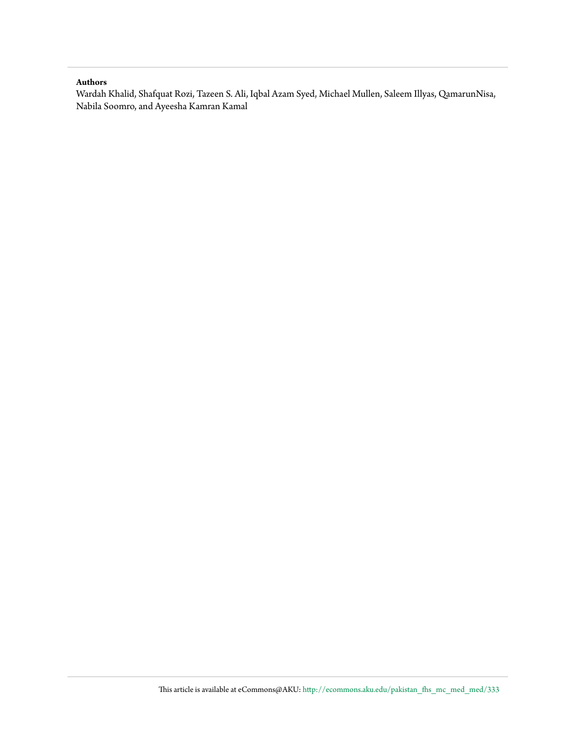## **Authors**

Wardah Khalid, Shafquat Rozi, Tazeen S. Ali, Iqbal Azam Syed, Michael Mullen, Saleem Illyas, QamarunNisa, Nabila Soomro, and Ayeesha Kamran Kamal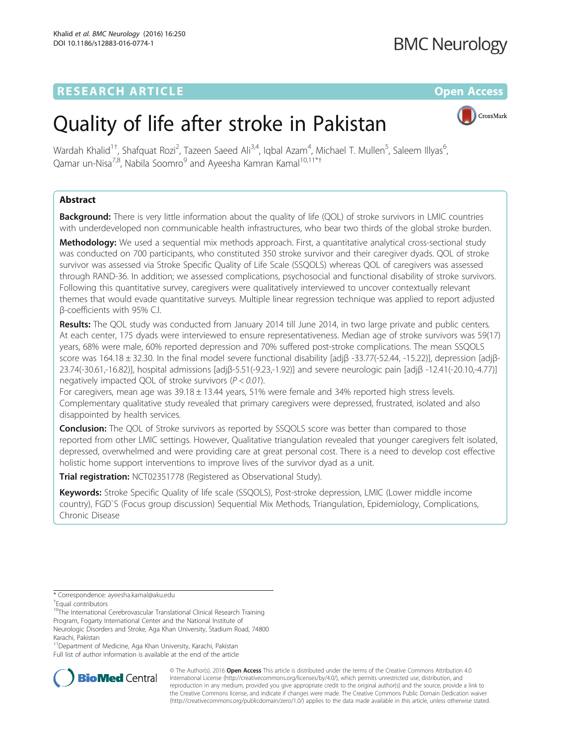## **RESEARCH ARTICLE Example 2018 12:00 Department of the CONNECTION CONNECTION CONNECTION CONNECTION**

## **BMC Neurology**

CrossMark

## Quality of life after stroke in Pakistan

Wardah Khalid<sup>1†</sup>, Shafquat Rozi<sup>2</sup>, Tazeen Saeed Ali<sup>3,4</sup>, Iqbal Azam<sup>4</sup>, Michael T. Mullen<sup>5</sup>, Saleem Illyas<sup>6</sup> , Qamar un-Nisa<sup>7,8</sup>, Nabila Soomro<sup>9</sup> and Ayeesha Kamran Kamal<sup>10,11\*†</sup>

## Abstract

**Background:** There is very little information about the quality of life (QOL) of stroke survivors in LMIC countries with underdeveloped non communicable health infrastructures, who bear two thirds of the global stroke burden.

Methodology: We used a sequential mix methods approach. First, a quantitative analytical cross-sectional study was conducted on 700 participants, who constituted 350 stroke survivor and their caregiver dyads. QOL of stroke survivor was assessed via Stroke Specific Quality of Life Scale (SSQOLS) whereas QOL of caregivers was assessed through RAND-36. In addition; we assessed complications, psychosocial and functional disability of stroke survivors. Following this quantitative survey, caregivers were qualitatively interviewed to uncover contextually relevant themes that would evade quantitative surveys. Multiple linear regression technique was applied to report adjusted β-coefficients with 95% C.I.

Results: The QOL study was conducted from January 2014 till June 2014, in two large private and public centers. At each center, 175 dyads were interviewed to ensure representativeness. Median age of stroke survivors was 59(17) years, 68% were male, 60% reported depression and 70% suffered post-stroke complications. The mean SSQOLS score was 164.18 ± 32.30. In the final model severe functional disability [adjβ -33.77(-52.44, -15.22)], depression [adjβ-23.74(-30.61,-16.82)], hospital admissions [adjβ-5.51(-9.23,-1.92)] and severe neurologic pain [adjβ -12.41(-20.10,-4.77)] negatively impacted QOL of stroke survivors ( $P < 0.01$ ).

For caregivers, mean age was  $39.18 \pm 13.44$  years, 51% were female and 34% reported high stress levels. Complementary qualitative study revealed that primary caregivers were depressed, frustrated, isolated and also disappointed by health services.

**Conclusion:** The QOL of Stroke survivors as reported by SSQOLS score was better than compared to those reported from other LMIC settings. However, Qualitative triangulation revealed that younger caregivers felt isolated, depressed, overwhelmed and were providing care at great personal cost. There is a need to develop cost effective holistic home support interventions to improve lives of the survivor dyad as a unit.

Trial registration: [NCT02351778](https://clinicaltrials.gov/ct2/show/NCT02351778) (Registered as Observational Study).

Keywords: Stroke Specific Quality of life scale (SSQOLS), Post-stroke depression, LMIC (Lower middle income country), FGD`S (Focus group discussion) Sequential Mix Methods, Triangulation, Epidemiology, Complications, Chronic Disease

Equal contributors

11Department of Medicine, Aga Khan University, Karachi, Pakistan Full list of author information is available at the end of the article



© The Author(s). 2016 Open Access This article is distributed under the terms of the Creative Commons Attribution 4.0 International License [\(http://creativecommons.org/licenses/by/4.0/](http://creativecommons.org/licenses/by/4.0/)), which permits unrestricted use, distribution, and reproduction in any medium, provided you give appropriate credit to the original author(s) and the source, provide a link to the Creative Commons license, and indicate if changes were made. The Creative Commons Public Domain Dedication waiver [\(http://creativecommons.org/publicdomain/zero/1.0/](http://creativecommons.org/publicdomain/zero/1.0/)) applies to the data made available in this article, unless otherwise stated.

<sup>\*</sup> Correspondence: [ayeesha.kamal@aku.edu](mailto:ayeesha.kamal@aku.edu) †

<sup>&</sup>lt;sup>10</sup>The International Cerebrovascular Translational Clinical Research Training Program, Fogarty International Center and the National Institute of Neurologic Disorders and Stroke, Aga Khan University, Stadium Road, 74800 Karachi, Pakistan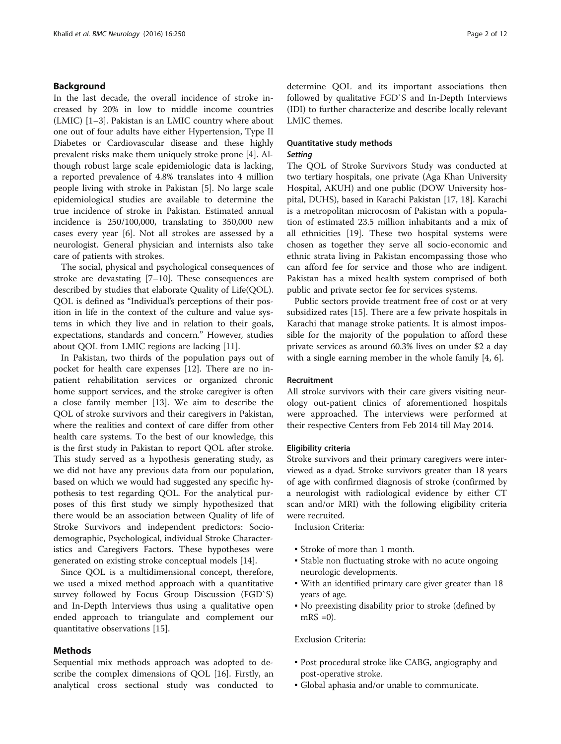## Background

In the last decade, the overall incidence of stroke increased by 20% in low to middle income countries (LMIC) [[1](#page-12-0)–[3\]](#page-12-0). Pakistan is an LMIC country where about one out of four adults have either Hypertension, Type II Diabetes or Cardiovascular disease and these highly prevalent risks make them uniquely stroke prone [\[4](#page-12-0)]. Although robust large scale epidemiologic data is lacking, a reported prevalence of 4.8% translates into 4 million people living with stroke in Pakistan [[5\]](#page-12-0). No large scale epidemiological studies are available to determine the true incidence of stroke in Pakistan. Estimated annual incidence is 250/100,000, translating to 350,000 new cases every year [\[6](#page-12-0)]. Not all strokes are assessed by a neurologist. General physician and internists also take care of patients with strokes.

The social, physical and psychological consequences of stroke are devastating [\[7](#page-12-0)–[10](#page-12-0)]. These consequences are described by studies that elaborate Quality of Life(QOL). QOL is defined as "Individual's perceptions of their position in life in the context of the culture and value systems in which they live and in relation to their goals, expectations, standards and concern." However, studies about QOL from LMIC regions are lacking [[11\]](#page-12-0).

In Pakistan, two thirds of the population pays out of pocket for health care expenses [[12\]](#page-12-0). There are no inpatient rehabilitation services or organized chronic home support services, and the stroke caregiver is often a close family member [[13\]](#page-12-0). We aim to describe the QOL of stroke survivors and their caregivers in Pakistan, where the realities and context of care differ from other health care systems. To the best of our knowledge, this is the first study in Pakistan to report QOL after stroke. This study served as a hypothesis generating study, as we did not have any previous data from our population, based on which we would had suggested any specific hypothesis to test regarding QOL. For the analytical purposes of this first study we simply hypothesized that there would be an association between Quality of life of Stroke Survivors and independent predictors: Sociodemographic, Psychological, individual Stroke Characteristics and Caregivers Factors. These hypotheses were generated on existing stroke conceptual models [[14\]](#page-12-0).

Since QOL is a multidimensional concept, therefore, we used a mixed method approach with a quantitative survey followed by Focus Group Discussion (FGD`S) and In-Depth Interviews thus using a qualitative open ended approach to triangulate and complement our quantitative observations [\[15](#page-12-0)].

## Methods

Sequential mix methods approach was adopted to describe the complex dimensions of QOL [\[16](#page-12-0)]. Firstly, an analytical cross sectional study was conducted to determine QOL and its important associations then followed by qualitative FGD`S and In-Depth Interviews (IDI) to further characterize and describe locally relevant LMIC themes.

## Quantitative study methods

## **Setting**

The QOL of Stroke Survivors Study was conducted at two tertiary hospitals, one private (Aga Khan University Hospital, AKUH) and one public (DOW University hospital, DUHS), based in Karachi Pakistan [\[17](#page-12-0), [18\]](#page-12-0). Karachi is a metropolitan microcosm of Pakistan with a population of estimated 23.5 million inhabitants and a mix of all ethnicities [\[19\]](#page-12-0). These two hospital systems were chosen as together they serve all socio-economic and ethnic strata living in Pakistan encompassing those who can afford fee for service and those who are indigent. Pakistan has a mixed health system comprised of both public and private sector fee for services systems.

Public sectors provide treatment free of cost or at very subsidized rates [[15](#page-12-0)]. There are a few private hospitals in Karachi that manage stroke patients. It is almost impossible for the majority of the population to afford these private services as around 60.3% lives on under \$2 a day with a single earning member in the whole family [[4, 6\]](#page-12-0).

## Recruitment

All stroke survivors with their care givers visiting neurology out-patient clinics of aforementioned hospitals were approached. The interviews were performed at their respective Centers from Feb 2014 till May 2014.

## Eligibility criteria

Stroke survivors and their primary caregivers were interviewed as a dyad. Stroke survivors greater than 18 years of age with confirmed diagnosis of stroke (confirmed by a neurologist with radiological evidence by either CT scan and/or MRI) with the following eligibility criteria were recruited.

Inclusion Criteria:

- Stroke of more than 1 month.
- Stable non fluctuating stroke with no acute ongoing neurologic developments.
- With an identified primary care giver greater than 18 years of age.
- No preexisting disability prior to stroke (defined by  $mRS = 0$ ).

## Exclusion Criteria:

- Post procedural stroke like CABG, angiography and post-operative stroke.
- Global aphasia and/or unable to communicate.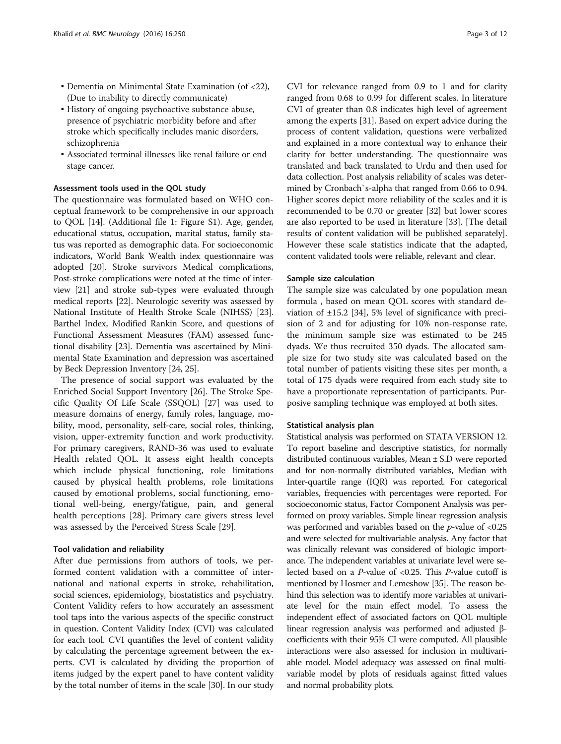- Dementia on Minimental State Examination (of <22), (Due to inability to directly communicate)
- History of ongoing psychoactive substance abuse, presence of psychiatric morbidity before and after stroke which specifically includes manic disorders, schizophrenia
- Associated terminal illnesses like renal failure or end stage cancer.

## Assessment tools used in the QOL study

The questionnaire was formulated based on WHO conceptual framework to be comprehensive in our approach to QOL [[14](#page-12-0)]. (Additional file [1:](#page-11-0) Figure S1). Age, gender, educational status, occupation, marital status, family status was reported as demographic data. For socioeconomic indicators, World Bank Wealth index questionnaire was adopted [\[20\]](#page-12-0). Stroke survivors Medical complications, Post-stroke complications were noted at the time of interview [[21](#page-12-0)] and stroke sub-types were evaluated through medical reports [\[22\]](#page-12-0). Neurologic severity was assessed by National Institute of Health Stroke Scale (NIHSS) [[23](#page-12-0)]. Barthel Index, Modified Rankin Score, and questions of Functional Assessment Measures (FAM) assessed functional disability [[23](#page-12-0)]. Dementia was ascertained by Minimental State Examination and depression was ascertained by Beck Depression Inventory [\[24, 25](#page-12-0)].

The presence of social support was evaluated by the Enriched Social Support Inventory [\[26](#page-12-0)]. The Stroke Specific Quality Of Life Scale (SSQOL) [\[27](#page-12-0)] was used to measure domains of energy, family roles, language, mobility, mood, personality, self-care, social roles, thinking, vision, upper-extremity function and work productivity. For primary caregivers, RAND-36 was used to evaluate Health related QOL. It assess eight health concepts which include physical functioning, role limitations caused by physical health problems, role limitations caused by emotional problems, social functioning, emotional well-being, energy/fatigue, pain, and general health perceptions [[28](#page-12-0)]. Primary care givers stress level was assessed by the Perceived Stress Scale [\[29](#page-12-0)].

## Tool validation and reliability

After due permissions from authors of tools, we performed content validation with a committee of international and national experts in stroke, rehabilitation, social sciences, epidemiology, biostatistics and psychiatry. Content Validity refers to how accurately an assessment tool taps into the various aspects of the specific construct in question. Content Validity Index (CVI) was calculated for each tool. CVI quantifies the level of content validity by calculating the percentage agreement between the experts. CVI is calculated by dividing the proportion of items judged by the expert panel to have content validity by the total number of items in the scale [\[30\]](#page-12-0). In our study CVI for relevance ranged from 0.9 to 1 and for clarity ranged from 0.68 to 0.99 for different scales. In literature CVI of greater than 0.8 indicates high level of agreement among the experts [[31](#page-12-0)]. Based on expert advice during the process of content validation, questions were verbalized and explained in a more contextual way to enhance their clarity for better understanding. The questionnaire was translated and back translated to Urdu and then used for data collection. Post analysis reliability of scales was determined by Cronbach`s-alpha that ranged from 0.66 to 0.94. Higher scores depict more reliability of the scales and it is recommended to be 0.70 or greater [[32](#page-12-0)] but lower scores are also reported to be used in literature [\[33\]](#page-12-0). [The detail results of content validation will be published separately]. However these scale statistics indicate that the adapted, content validated tools were reliable, relevant and clear.

## Sample size calculation

The sample size was calculated by one population mean formula , based on mean QOL scores with standard deviation of ±15.2 [\[34\]](#page-12-0), 5% level of significance with precision of 2 and for adjusting for 10% non-response rate, the minimum sample size was estimated to be 245 dyads. We thus recruited 350 dyads. The allocated sample size for two study site was calculated based on the total number of patients visiting these sites per month, a total of 175 dyads were required from each study site to have a proportionate representation of participants. Purposive sampling technique was employed at both sites.

## Statistical analysis plan

Statistical analysis was performed on STATA VERSION 12. To report baseline and descriptive statistics, for normally distributed continuous variables, Mean ± S.D were reported and for non-normally distributed variables, Median with Inter-quartile range (IQR) was reported. For categorical variables, frequencies with percentages were reported. For socioeconomic status, Factor Component Analysis was performed on proxy variables. Simple linear regression analysis was performed and variables based on the  $p$ -value of <0.25 and were selected for multivariable analysis. Any factor that was clinically relevant was considered of biologic importance. The independent variables at univariate level were selected based on a P-value of <0.25. This P-value cutoff is mentioned by Hosmer and Lemeshow [\[35\]](#page-12-0). The reason behind this selection was to identify more variables at univariate level for the main effect model. To assess the independent effect of associated factors on QOL multiple linear regression analysis was performed and adjusted βcoefficients with their 95% CI were computed. All plausible interactions were also assessed for inclusion in multivariable model. Model adequacy was assessed on final multivariable model by plots of residuals against fitted values and normal probability plots.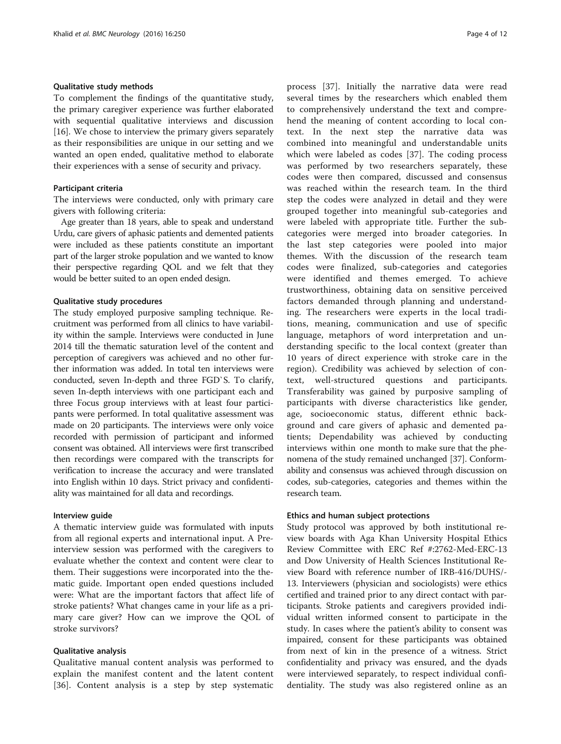## Qualitative study methods

To complement the findings of the quantitative study, the primary caregiver experience was further elaborated with sequential qualitative interviews and discussion [[16\]](#page-12-0). We chose to interview the primary givers separately as their responsibilities are unique in our setting and we wanted an open ended, qualitative method to elaborate their experiences with a sense of security and privacy.

## Participant criteria

The interviews were conducted, only with primary care givers with following criteria:

Age greater than 18 years, able to speak and understand Urdu, care givers of aphasic patients and demented patients were included as these patients constitute an important part of the larger stroke population and we wanted to know their perspective regarding QOL and we felt that they would be better suited to an open ended design.

## Qualitative study procedures

The study employed purposive sampling technique. Recruitment was performed from all clinics to have variability within the sample. Interviews were conducted in June 2014 till the thematic saturation level of the content and perception of caregivers was achieved and no other further information was added. In total ten interviews were conducted, seven In-depth and three FGD`S. To clarify, seven In-depth interviews with one participant each and three Focus group interviews with at least four participants were performed. In total qualitative assessment was made on 20 participants. The interviews were only voice recorded with permission of participant and informed consent was obtained. All interviews were first transcribed then recordings were compared with the transcripts for verification to increase the accuracy and were translated into English within 10 days. Strict privacy and confidentiality was maintained for all data and recordings.

## Interview guide

A thematic interview guide was formulated with inputs from all regional experts and international input. A Preinterview session was performed with the caregivers to evaluate whether the context and content were clear to them. Their suggestions were incorporated into the thematic guide. Important open ended questions included were: What are the important factors that affect life of stroke patients? What changes came in your life as a primary care giver? How can we improve the QOL of stroke survivors?

## Qualitative analysis

Qualitative manual content analysis was performed to explain the manifest content and the latent content [[36\]](#page-12-0). Content analysis is a step by step systematic

process [[37\]](#page-12-0). Initially the narrative data were read several times by the researchers which enabled them to comprehensively understand the text and comprehend the meaning of content according to local context. In the next step the narrative data was combined into meaningful and understandable units which were labeled as codes [[37\]](#page-12-0). The coding process was performed by two researchers separately, these codes were then compared, discussed and consensus was reached within the research team. In the third step the codes were analyzed in detail and they were grouped together into meaningful sub-categories and were labeled with appropriate title. Further the subcategories were merged into broader categories. In the last step categories were pooled into major themes. With the discussion of the research team codes were finalized, sub-categories and categories were identified and themes emerged. To achieve trustworthiness, obtaining data on sensitive perceived factors demanded through planning and understanding. The researchers were experts in the local traditions, meaning, communication and use of specific language, metaphors of word interpretation and understanding specific to the local context (greater than 10 years of direct experience with stroke care in the region). Credibility was achieved by selection of context, well-structured questions and participants. Transferability was gained by purposive sampling of participants with diverse characteristics like gender, age, socioeconomic status, different ethnic background and care givers of aphasic and demented patients; Dependability was achieved by conducting interviews within one month to make sure that the phenomena of the study remained unchanged [[37\]](#page-12-0). Conformability and consensus was achieved through discussion on codes, sub-categories, categories and themes within the research team.

## Ethics and human subject protections

Study protocol was approved by both institutional review boards with Aga Khan University Hospital Ethics Review Committee with ERC Ref #:2762-Med-ERC-13 and Dow University of Health Sciences Institutional Review Board with reference number of IRB-416/DUHS/- 13. Interviewers (physician and sociologists) were ethics certified and trained prior to any direct contact with participants. Stroke patients and caregivers provided individual written informed consent to participate in the study. In cases where the patient's ability to consent was impaired, consent for these participants was obtained from next of kin in the presence of a witness. Strict confidentiality and privacy was ensured, and the dyads were interviewed separately, to respect individual confidentiality. The study was also registered online as an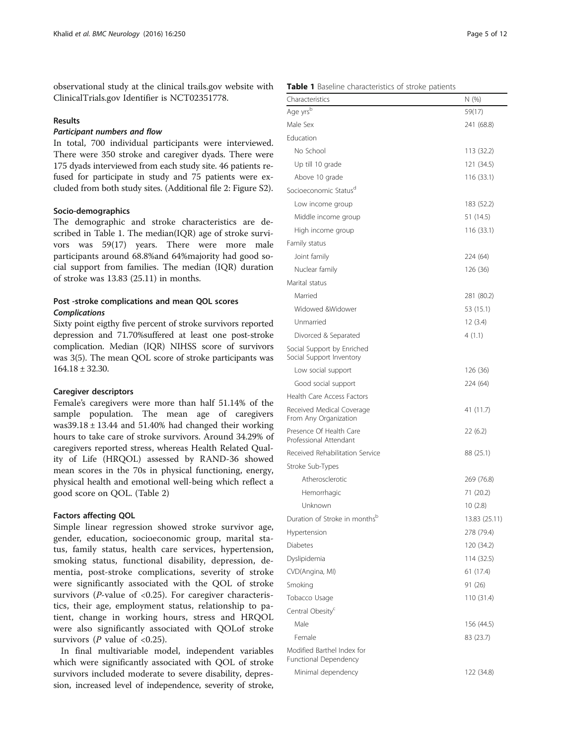<span id="page-6-0"></span>observational study at the clinical trails.gov website with ClinicalTrials.gov Identifier is NCT02351778.

### Results

## Participant numbers and flow

In total, 700 individual participants were interviewed. There were 350 stroke and caregiver dyads. There were 175 dyads interviewed from each study site. 46 patients refused for participate in study and 75 patients were excluded from both study sites. (Additional file [2](#page-11-0): Figure S2).

## Socio-demographics

The demographic and stroke characteristics are described in Table 1. The median(IQR) age of stroke survivors was 59(17) years. There were more male participants around 68.8%and 64%majority had good social support from families. The median (IQR) duration of stroke was 13.83 (25.11) in months.

## Post -stroke complications and mean QOL scores Complications

Sixty point eigthy five percent of stroke survivors reported depression and 71.70%suffered at least one post-stroke complication. Median (IQR) NIHSS score of survivors was 3(5). The mean QOL score of stroke participants was 164.18 ± 32.30.

## Caregiver descriptors

Female's caregivers were more than half 51.14% of the sample population. The mean age of caregivers was $39.18 \pm 13.44$  and  $51.40\%$  had changed their working hours to take care of stroke survivors. Around 34.29% of caregivers reported stress, whereas Health Related Quality of Life (HRQOL) assessed by RAND-36 showed mean scores in the 70s in physical functioning, energy, physical health and emotional well-being which reflect a good score on QOL. (Table [2\)](#page-7-0)

## Factors affecting QOL

Simple linear regression showed stroke survivor age, gender, education, socioeconomic group, marital status, family status, health care services, hypertension, smoking status, functional disability, depression, dementia, post-stroke complications, severity of stroke were significantly associated with the QOL of stroke survivors ( $P$ -value of <0.25). For caregiver characteristics, their age, employment status, relationship to patient, change in working hours, stress and HRQOL were also significantly associated with QOLof stroke survivors (*P* value of  $\langle 0.25 \rangle$ .

In final multivariable model, independent variables which were significantly associated with QOL of stroke survivors included moderate to severe disability, depression, increased level of independence, severity of stroke,

| Table 1 Baseline characteristics of stroke patients |
|-----------------------------------------------------|
|-----------------------------------------------------|

| Characteristics                                            | N (%)         |
|------------------------------------------------------------|---------------|
| Age yrs <sup>b</sup>                                       | 59(17)        |
| Male Sex                                                   | 241 (68.8)    |
| Education                                                  |               |
| No School                                                  | 113 (32.2)    |
| Up till 10 grade                                           | 121 (34.5)    |
| Above 10 grade                                             | 116 (33.1)    |
| Socioeconomic Status <sup>d</sup>                          |               |
| Low income group                                           | 183 (52.2)    |
| Middle income group                                        | 51 (14.5)     |
| High income group                                          | 116 (33.1)    |
| Family status                                              |               |
| Joint family                                               | 224 (64)      |
| Nuclear family                                             | 126 (36)      |
| Marital status                                             |               |
| Married                                                    | 281 (80.2)    |
| Widowed &Widower                                           | 53 (15.1)     |
| Unmarried                                                  | 12 (3.4)      |
| Divorced & Separated                                       | 4(1.1)        |
| Social Support by Enriched<br>Social Support Inventory     |               |
| Low social support                                         | 126 (36)      |
| Good social support                                        | 224 (64)      |
| Health Care Access Factors                                 |               |
| Received Medical Coverage<br>From Any Organization         | 41 (11.7)     |
| Presence Of Health Care<br>Professional Attendant          | 22(6.2)       |
| Received Rehabilitation Service                            | 88 (25.1)     |
| Stroke Sub-Types                                           |               |
| Atherosclerotic                                            | 269 (76.8)    |
| Hemorrhagic                                                | 71 (20.2)     |
| Unknown                                                    | 10 (2.8)      |
| Duration of Stroke in monthsb                              | 13.83 (25.11) |
| Hypertension                                               | 278 (79.4)    |
| <b>Diabetes</b>                                            | 120 (34.2)    |
| Dyslipidemia                                               | 114 (32.5)    |
| CVD(Angina, MI)                                            | 61 (17.4)     |
| Smoking                                                    | 91 (26)       |
| Tobacco Usage                                              | 110 (31.4)    |
| Central Obesity <sup>c</sup>                               |               |
| Male                                                       | 156 (44.5)    |
| Female                                                     | 83 (23.7)     |
| Modified Barthel Index for<br><b>Functional Dependency</b> |               |
| Minimal dependency                                         | 122 (34.8)    |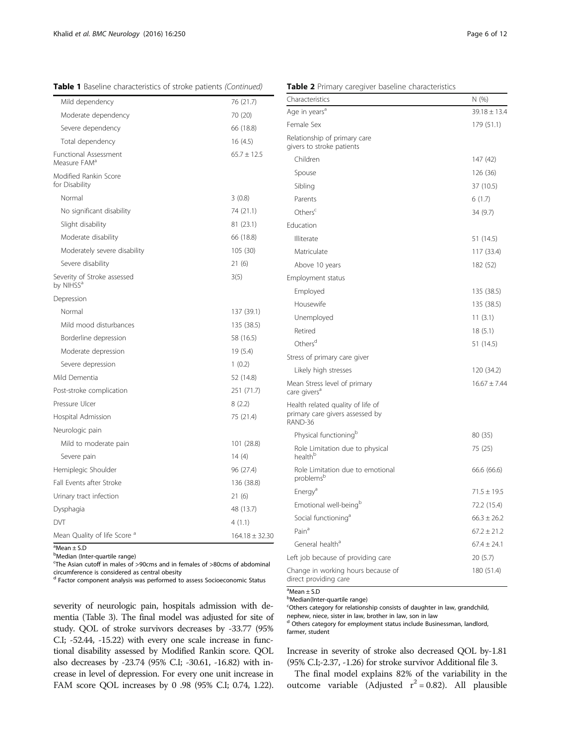<span id="page-7-0"></span>Table 1 Baseline characteristics of stroke patients (Continued)

| Mild dependency                                      | 76 (21.7)          |
|------------------------------------------------------|--------------------|
| Moderate dependency                                  | 70 (20)            |
| Severe dependency                                    | 66 (18.8)          |
| Total dependency                                     | 16(4.5)            |
| Functional Assessment<br>Measure FAM <sup>a</sup>    | $65.7 \pm 12.5$    |
| Modified Rankin Score<br>for Disability              |                    |
| Normal                                               | 3(0.8)             |
| No significant disability                            | 74 (21.1)          |
| Slight disability                                    | 81 (23.1)          |
| Moderate disability                                  | 66 (18.8)          |
| Moderately severe disability                         | 105 (30)           |
| Severe disability                                    | 21(6)              |
| Severity of Stroke assessed<br>by NIHSS <sup>a</sup> | 3(5)               |
| Depression                                           |                    |
| Normal                                               | 137 (39.1)         |
| Mild mood disturbances                               | 135 (38.5)         |
| Borderline depression                                | 58 (16.5)          |
| Moderate depression                                  | 19 (5.4)           |
| Severe depression                                    | 1(0.2)             |
| Mild Dementia                                        | 52 (14.8)          |
| Post-stroke complication                             | 251 (71.7)         |
| Pressure Ulcer                                       | 8(2.2)             |
| Hospital Admission                                   | 75 (21.4)          |
| Neurologic pain                                      |                    |
| Mild to moderate pain                                | 101 (28.8)         |
| Severe pain                                          | 14(4)              |
| Hemiplegic Shoulder                                  | 96 (27.4)          |
| Fall Events after Stroke                             | 136 (38.8)         |
| Urinary tract infection                              | 21(6)              |
| Dysphagia                                            | 48 (13.7)          |
| <b>DVT</b>                                           | 4(1.1)             |
| Mean Quality of life Score <sup>a</sup>              | $164.18 \pm 32.30$ |
| $^{\circ}$ Mean $\pm$ S.D                            |                    |

<sup>b</sup>Median (Inter-quartile range)

c The Asian cutoff in males of >90cms and in females of >80cms of abdominal circumference is considered as central obesity

<sup>d</sup> Factor component analysis was performed to assess Socioeconomic Status

severity of neurologic pain, hospitals admission with dementia (Table [3\)](#page-8-0). The final model was adjusted for site of study. QOL of stroke survivors decreases by -33.77 (95% C.I; -52.44, -15.22) with every one scale increase in functional disability assessed by Modified Rankin score. QOL also decreases by -23.74 (95% C.I; -30.61, -16.82) with increase in level of depression. For every one unit increase in FAM score QOL increases by 0 .98 (95% C.I; 0.74, 1.22).

| Age in years <sup>a</sup>                                                       | $39.18 \pm 13.4$ |
|---------------------------------------------------------------------------------|------------------|
| Female Sex                                                                      | 179 (51.1)       |
| Relationship of primary care<br>givers to stroke patients                       |                  |
| Children                                                                        | 147 (42)         |
| Spouse                                                                          | 126 (36)         |
| Sibling                                                                         | 37 (10.5)        |
| Parents                                                                         | 6(1.7)           |
| Others <sup>c</sup>                                                             | 34 (9.7)         |
| Education                                                                       |                  |
| Illiterate                                                                      | 51 (14.5)        |
| Matriculate                                                                     | 117 (33.4)       |
| Above 10 years                                                                  | 182 (52)         |
| Employment status                                                               |                  |
| Employed                                                                        | 135 (38.5)       |
| Housewife                                                                       | 135 (38.5)       |
| Unemployed                                                                      | 11(3.1)          |
| Retired                                                                         | 18(5.1)          |
| Others <sup>d</sup>                                                             | 51 (14.5)        |
| Stress of primary care giver                                                    |                  |
| Likely high stresses                                                            | 120 (34.2)       |
| Mean Stress level of primary<br>care givers <sup>a</sup>                        | $16.67 \pm 7.44$ |
| Health related quality of life of<br>primary care givers assessed by<br>RAND-36 |                  |
| Physical functioning <sup>b</sup>                                               | 80 (35)          |
| Role Limitation due to physical<br>health <sup>b</sup>                          | 75 (25)          |
| Role Limitation due to emotional<br>problemsb                                   | 66.6 (66.6)      |
| Energy <sup>a</sup>                                                             | $71.5 \pm 19.5$  |
| Emotional well-being <sup>b</sup>                                               | 72.2 (15.4)      |
| Social functioning <sup>a</sup>                                                 | $66.3 \pm 26.2$  |
| Pain <sup>a</sup>                                                               | $67.2 + 21.2$    |
| General health <sup>a</sup>                                                     | $67.4 \pm 24.1$  |
| Left job because of providing care                                              | 20 (5.7)         |
| Change in working hours because of<br>direct providing care                     | 180 (51.4)       |

Table 2 Primary caregiver baseline characteristics

Characteristics N (%)

 $a$ Mean  $\pm$  S.D

**b**Median(Inter-quartile range)

<sup>c</sup>Others category for relationship consists of daughter in law, grandchild, nephew, niece, sister in law, brother in law, son in law

<sup>d</sup> Others category for employment status include Businessman, landlord, farmer, student

Increase in severity of stroke also decreased QOL by-1.81 (95% C.I;-2.37, -1.26) for stroke survivor Additional file [3](#page-11-0).

The final model explains 82% of the variability in the outcome variable (Adjusted  $r^2 = 0.82$ ). All plausible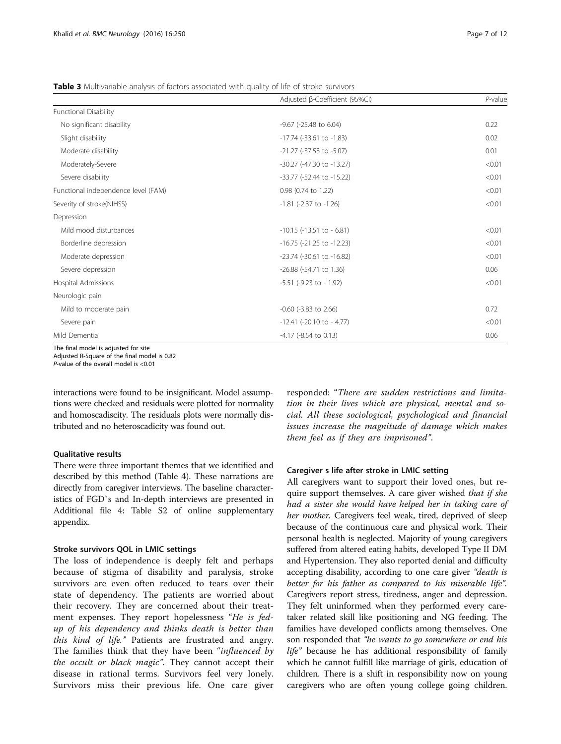<span id="page-8-0"></span>Table 3 Multivariable analysis of factors associated with quality of life of stroke survivors

|                                     | Adjusted β-Coefficient (95%Cl)    | $P$ -value |
|-------------------------------------|-----------------------------------|------------|
| Functional Disability               |                                   |            |
| No significant disability           | $-9.67$ ( $-25.48$ to 6.04)       | 0.22       |
| Slight disability                   | $-17.74$ ( $-33.61$ to $-1.83$ )  | 0.02       |
| Moderate disability                 | -21.27 (-37.53 to -5.07)          | 0.01       |
| Moderately-Severe                   | -30.27 (-47.30 to -13.27)         | < 0.01     |
| Severe disability                   | -33.77 (-52.44 to -15.22)         | < 0.01     |
| Functional independence level (FAM) | 0.98 (0.74 to 1.22)               | < 0.01     |
| Severity of stroke(NIHSS)           | $-1.81$ ( $-2.37$ to $-1.26$ )    | < 0.01     |
| Depression                          |                                   |            |
| Mild mood disturbances              | $-10.15$ ( $-13.51$ to $-6.81$ )  | < 0.01     |
| Borderline depression               | $-16.75$ ( $-21.25$ to $-12.23$ ) | < 0.01     |
| Moderate depression                 | -23.74 (-30.61 to -16.82)         | < 0.01     |
| Severe depression                   | -26.88 (-54.71 to 1.36)           | 0.06       |
| Hospital Admissions                 | $-5.51$ ( $-9.23$ to $-1.92$ )    | < 0.01     |
| Neurologic pain                     |                                   |            |
| Mild to moderate pain               | $-0.60$ ( $-3.83$ to 2.66)        | 0.72       |
| Severe pain                         | $-12.41$ ( $-20.10$ to $-4.77$ )  | < 0.01     |
| Mild Dementia                       | $-4.17$ ( $-8.54$ to 0.13)        | 0.06       |

The final model is adjusted for site

Adjusted R-Square of the final model is 0.82

P-value of the overall model is <0.01

interactions were found to be insignificant. Model assumptions were checked and residuals were plotted for normality and homoscadiscity. The residuals plots were normally distributed and no heteroscadicity was found out.

## Qualitative results

There were three important themes that we identified and described by this method (Table [4](#page-9-0)). These narrations are directly from caregiver interviews. The baseline characteristics of FGD`s and In-depth interviews are presented in Additional file [4](#page-11-0): Table S2 of online supplementary appendix.

## Stroke survivors QOL in LMIC settings

The loss of independence is deeply felt and perhaps because of stigma of disability and paralysis, stroke survivors are even often reduced to tears over their state of dependency. The patients are worried about their recovery. They are concerned about their treatment expenses. They report hopelessness "He is fedup of his dependency and thinks death is better than this kind of life." Patients are frustrated and angry. The families think that they have been "*influenced by* the occult or black magic". They cannot accept their disease in rational terms. Survivors feel very lonely. Survivors miss their previous life. One care giver

responded: "There are sudden restrictions and limitation in their lives which are physical, mental and social. All these sociological, psychological and financial issues increase the magnitude of damage which makes them feel as if they are imprisoned".

## Caregiver s life after stroke in LMIC setting

All caregivers want to support their loved ones, but require support themselves. A care giver wished that if she had a sister she would have helped her in taking care of her mother. Caregivers feel weak, tired, deprived of sleep because of the continuous care and physical work. Their personal health is neglected. Majority of young caregivers suffered from altered eating habits, developed Type II DM and Hypertension. They also reported denial and difficulty accepting disability, according to one care giver "death is better for his father as compared to his miserable life". Caregivers report stress, tiredness, anger and depression. They felt uninformed when they performed every caretaker related skill like positioning and NG feeding. The families have developed conflicts among themselves. One son responded that "he wants to go somewhere or end his life" because he has additional responsibility of family which he cannot fulfill like marriage of girls, education of children. There is a shift in responsibility now on young caregivers who are often young college going children.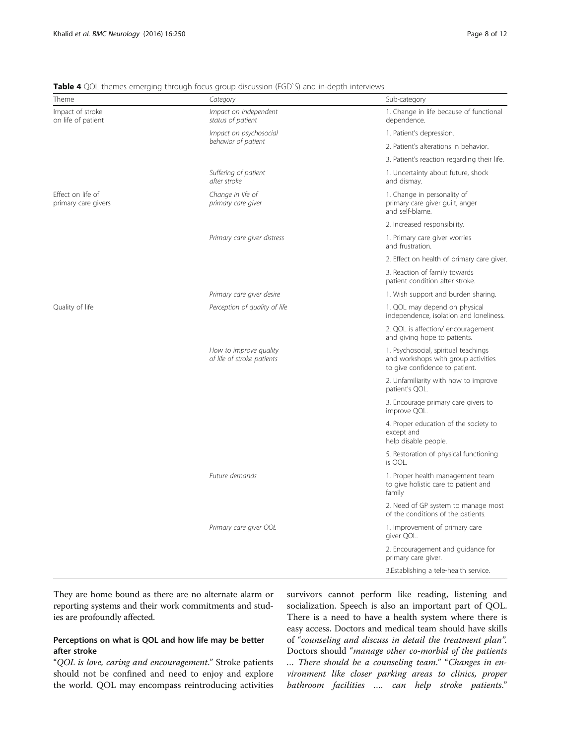<span id="page-9-0"></span>

| Table 4 QOL themes emerging through focus group discussion (FGD'S) and in-depth interviews |  |  |  |
|--------------------------------------------------------------------------------------------|--|--|--|
|--------------------------------------------------------------------------------------------|--|--|--|

| Theme                                    | Category                                             | Sub-category                                                                                                  |
|------------------------------------------|------------------------------------------------------|---------------------------------------------------------------------------------------------------------------|
| Impact of stroke<br>on life of patient   | Impact on independent<br>status of patient           | 1. Change in life because of functional<br>dependence.                                                        |
|                                          | Impact on psychosocial                               | 1. Patient's depression.                                                                                      |
|                                          | behavior of patient                                  | 2. Patient's alterations in behavior.                                                                         |
|                                          |                                                      | 3. Patient's reaction regarding their life.                                                                   |
|                                          | Suffering of patient<br>after stroke                 | 1. Uncertainty about future, shock<br>and dismay.                                                             |
| Effect on life of<br>primary care givers | Change in life of<br>primary care giver              | 1. Change in personality of<br>primary care giver guilt, anger<br>and self-blame.                             |
|                                          |                                                      | 2. Increased responsibility.                                                                                  |
|                                          | Primary care giver distress                          | 1. Primary care giver worries<br>and frustration.                                                             |
|                                          |                                                      | 2. Effect on health of primary care giver.                                                                    |
|                                          |                                                      | 3. Reaction of family towards<br>patient condition after stroke.                                              |
|                                          | Primary care giver desire                            | 1. Wish support and burden sharing.                                                                           |
| Quality of life                          | Perception of quality of life                        | 1. QOL may depend on physical<br>independence, isolation and loneliness.                                      |
|                                          |                                                      | 2. QOL is affection/ encouragement<br>and giving hope to patients.                                            |
|                                          | How to improve quality<br>of life of stroke patients | 1. Psychosocial, spiritual teachings<br>and workshops with group activities<br>to give confidence to patient. |
|                                          |                                                      | 2. Unfamiliarity with how to improve<br>patient's QOL.                                                        |
|                                          |                                                      | 3. Encourage primary care givers to<br>improve QOL.                                                           |
|                                          |                                                      | 4. Proper education of the society to<br>except and<br>help disable people.                                   |
|                                          |                                                      | 5. Restoration of physical functioning<br>is QOL.                                                             |
|                                          | Future demands                                       | 1. Proper health management team<br>to give holistic care to patient and<br>family                            |
|                                          |                                                      | 2. Need of GP system to manage most<br>of the conditions of the patients.                                     |
|                                          | Primary care giver QOL                               | 1. Improvement of primary care<br>giver QOL.                                                                  |
|                                          |                                                      | 2. Encouragement and guidance for<br>primary care giver.                                                      |
|                                          |                                                      | 3.Establishing a tele-health service.                                                                         |

They are home bound as there are no alternate alarm or reporting systems and their work commitments and studies are profoundly affected.

## Perceptions on what is QOL and how life may be better after stroke

"QOL is love, caring and encouragement." Stroke patients should not be confined and need to enjoy and explore the world. QOL may encompass reintroducing activities survivors cannot perform like reading, listening and socialization. Speech is also an important part of QOL. There is a need to have a health system where there is easy access. Doctors and medical team should have skills of "counseling and discuss in detail the treatment plan". Doctors should "manage other co-morbid of the patients … There should be a counseling team." "Changes in environment like closer parking areas to clinics, proper bathroom facilities …. can help stroke patients."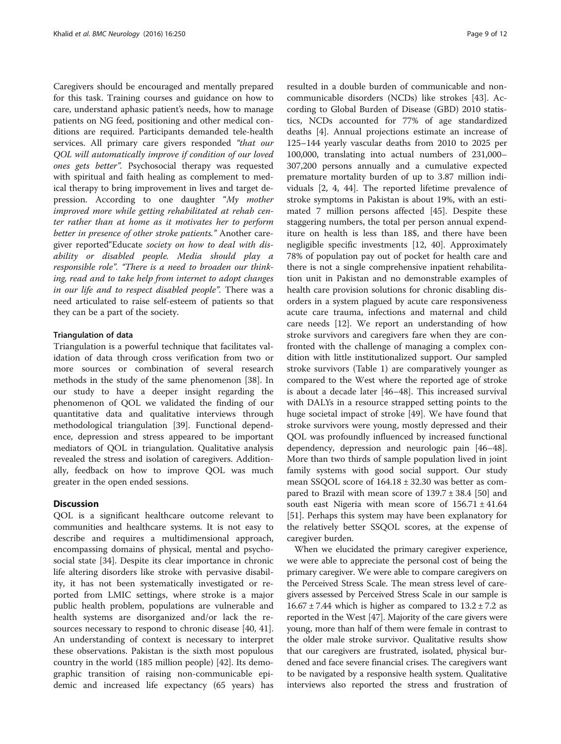Caregivers should be encouraged and mentally prepared for this task. Training courses and guidance on how to care, understand aphasic patient's needs, how to manage patients on NG feed, positioning and other medical conditions are required. Participants demanded tele-health services. All primary care givers responded "that our QOL will automatically improve if condition of our loved ones gets better". Psychosocial therapy was requested with spiritual and faith healing as complement to medical therapy to bring improvement in lives and target depression. According to one daughter "My mother improved more while getting rehabilitated at rehab center rather than at home as it motivates her to perform better in presence of other stroke patients." Another caregiver reported"Educate society on how to deal with disability or disabled people. Media should play a responsible role". "There is a need to broaden our thinking, read and to take help from internet to adopt changes in our life and to respect disabled people". There was a need articulated to raise self-esteem of patients so that they can be a part of the society.

## Triangulation of data

Triangulation is a powerful technique that facilitates validation of data through cross verification from two or more sources or combination of several research methods in the study of the same phenomenon [[38\]](#page-12-0). In our study to have a deeper insight regarding the phenomenon of QOL we validated the finding of our quantitative data and qualitative interviews through methodological triangulation [[39\]](#page-12-0). Functional dependence, depression and stress appeared to be important mediators of QOL in triangulation. Qualitative analysis revealed the stress and isolation of caregivers. Additionally, feedback on how to improve QOL was much greater in the open ended sessions.

## **Discussion**

QOL is a significant healthcare outcome relevant to communities and healthcare systems. It is not easy to describe and requires a multidimensional approach, encompassing domains of physical, mental and psychosocial state [[34\]](#page-12-0). Despite its clear importance in chronic life altering disorders like stroke with pervasive disability, it has not been systematically investigated or reported from LMIC settings, where stroke is a major public health problem, populations are vulnerable and health systems are disorganized and/or lack the resources necessary to respond to chronic disease [\[40](#page-12-0), [41](#page-12-0)]. An understanding of context is necessary to interpret these observations. Pakistan is the sixth most populous country in the world (185 million people) [[42\]](#page-12-0). Its demographic transition of raising non-communicable epidemic and increased life expectancy (65 years) has

resulted in a double burden of communicable and noncommunicable disorders (NCDs) like strokes [[43\]](#page-12-0). According to Global Burden of Disease (GBD) 2010 statistics, NCDs accounted for 77% of age standardized deaths [[4\]](#page-12-0). Annual projections estimate an increase of 125–144 yearly vascular deaths from 2010 to 2025 per 100,000, translating into actual numbers of 231,000– 307,200 persons annually and a cumulative expected premature mortality burden of up to 3.87 million individuals [\[2](#page-12-0), [4](#page-12-0), [44](#page-13-0)]. The reported lifetime prevalence of stroke symptoms in Pakistan is about 19%, with an estimated 7 million persons affected [[45\]](#page-13-0). Despite these staggering numbers, the total per person annual expenditure on health is less than 18\$, and there have been negligible specific investments [[12, 40\]](#page-12-0). Approximately 78% of population pay out of pocket for health care and there is not a single comprehensive inpatient rehabilitation unit in Pakistan and no demonstrable examples of health care provision solutions for chronic disabling disorders in a system plagued by acute care responsiveness acute care trauma, infections and maternal and child care needs [\[12](#page-12-0)]. We report an understanding of how stroke survivors and caregivers fare when they are confronted with the challenge of managing a complex condition with little institutionalized support. Our sampled stroke survivors (Table [1\)](#page-6-0) are comparatively younger as compared to the West where the reported age of stroke is about a decade later [[46](#page-13-0)–[48](#page-13-0)]. This increased survival with DALYs in a resource strapped setting points to the huge societal impact of stroke [[49](#page-13-0)]. We have found that stroke survivors were young, mostly depressed and their QOL was profoundly influenced by increased functional dependency, depression and neurologic pain [[46](#page-13-0)–[48](#page-13-0)]. More than two thirds of sample population lived in joint family systems with good social support. Our study mean SSQOL score of 164.18 ± 32.30 was better as compared to Brazil with mean score of  $139.7 \pm 38.4$  [\[50\]](#page-13-0) and south east Nigeria with mean score of  $156.71 \pm 41.64$ [[51\]](#page-13-0). Perhaps this system may have been explanatory for the relatively better SSQOL scores, at the expense of caregiver burden.

When we elucidated the primary caregiver experience, we were able to appreciate the personal cost of being the primary caregiver. We were able to compare caregivers on the Perceived Stress Scale. The mean stress level of caregivers assessed by Perceived Stress Scale in our sample is  $16.67 \pm 7.44$  which is higher as compared to  $13.2 \pm 7.2$  as reported in the West [\[47\]](#page-13-0). Majority of the care givers were young, more than half of them were female in contrast to the older male stroke survivor. Qualitative results show that our caregivers are frustrated, isolated, physical burdened and face severe financial crises. The caregivers want to be navigated by a responsive health system. Qualitative interviews also reported the stress and frustration of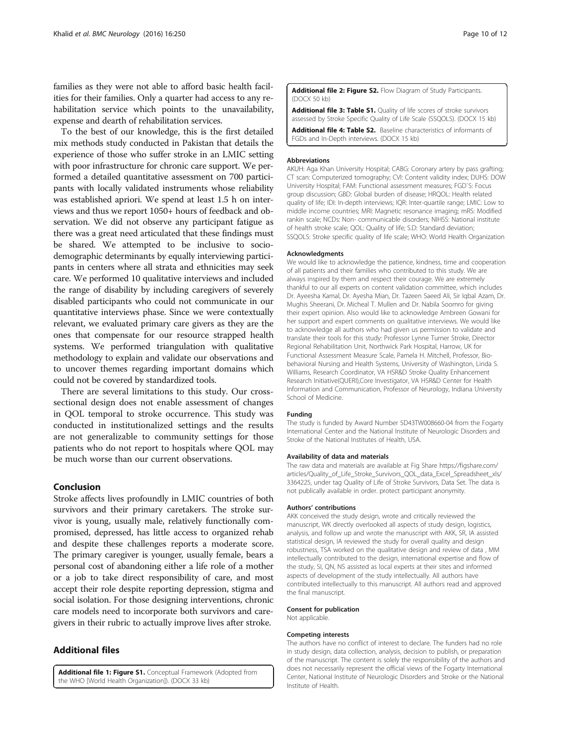<span id="page-11-0"></span>families as they were not able to afford basic health facilities for their families. Only a quarter had access to any rehabilitation service which points to the unavailability, expense and dearth of rehabilitation services.

To the best of our knowledge, this is the first detailed mix methods study conducted in Pakistan that details the experience of those who suffer stroke in an LMIC setting with poor infrastructure for chronic care support. We performed a detailed quantitative assessment on 700 participants with locally validated instruments whose reliability was established apriori. We spend at least 1.5 h on interviews and thus we report 1050+ hours of feedback and observation. We did not observe any participant fatigue as there was a great need articulated that these findings must be shared. We attempted to be inclusive to sociodemographic determinants by equally interviewing participants in centers where all strata and ethnicities may seek care. We performed 10 qualitative interviews and included the range of disability by including caregivers of severely disabled participants who could not communicate in our quantitative interviews phase. Since we were contextually relevant, we evaluated primary care givers as they are the ones that compensate for our resource strapped health systems. We performed triangulation with qualitative methodology to explain and validate our observations and to uncover themes regarding important domains which could not be covered by standardized tools.

There are several limitations to this study. Our crosssectional design does not enable assessment of changes in QOL temporal to stroke occurrence. This study was conducted in institutionalized settings and the results are not generalizable to community settings for those patients who do not report to hospitals where QOL may be much worse than our current observations.

## Conclusion

Stroke affects lives profoundly in LMIC countries of both survivors and their primary caretakers. The stroke survivor is young, usually male, relatively functionally compromised, depressed, has little access to organized rehab and despite these challenges reports a moderate score. The primary caregiver is younger, usually female, bears a personal cost of abandoning either a life role of a mother or a job to take direct responsibility of care, and most accept their role despite reporting depression, stigma and social isolation. For those designing interventions, chronic care models need to incorporate both survivors and caregivers in their rubric to actually improve lives after stroke.

## Additional files

[Additional file 1: Figure S1.](dx.doi.org/10.1186/s12883-016-0774-1) Conceptual Framework (Adopted from the WHO [World Health Organization]). (DOCX 33 kb)

[Additional file 2: Figure S2.](dx.doi.org/10.1186/s12883-016-0774-1) Flow Diagram of Study Participants. (DOCX 50 kb)

[Additional file 3: Table S1.](dx.doi.org/10.1186/s12883-016-0774-1) Quality of life scores of stroke survivors assessed by Stroke Specific Quality of Life Scale (SSQOLS). (DOCX 15 kb)

[Additional file 4: Table S2.](dx.doi.org/10.1186/s12883-016-0774-1) Baseline characteristics of informants of FGDs and In-Depth interviews. (DOCX 15 kb)

#### Abbreviations

AKUH: Aga Khan University Hospital; CABG: Coronary artery by pass grafting; CT scan: Computerized tomography; CVI: Content validity index; DUHS: DOW University Hospital; FAM: Functional assessment measures; FGD`S: Focus group discussion; GBD: Global burden of disease; HRQOL: Health related quality of life; IDI: In-depth interviews; IQR: Inter-quartile range; LMIC: Low to middle income countries; MRI: Magnetic resonance imaging; mRS: Modified rankin scale; NCDs: Non- communicable disorders; NIHSS: National institute of health stroke scale; QOL: Quality of life; S.D: Standard deviation; SSQOLS: Stroke specific quality of life scale; WHO: World Health Organization

#### Acknowledgments

We would like to acknowledge the patience, kindness, time and cooperation of all patients and their families who contributed to this study. We are always inspired by them and respect their courage. We are extremely thankful to our all experts on content validation committee, which includes Dr. Ayeesha Kamal, Dr. Ayesha Mian, Dr. Tazeen Saeed Ali, Sir Iqbal Azam, Dr. Mughis Sheerani, Dr. Micheal T. Mullen and Dr. Nabila Soomro for giving their expert opinion. Also would like to acknowledge Ambreen Gowani for her support and expert comments on qualitative interviews. We would like to acknowledge all authors who had given us permission to validate and translate their tools for this study: Professor Lynne Turner Stroke, Director Regional Rehabilitation Unit, Northwick Park Hospital, Harrow, UK for Functional Assessment Measure Scale, Pamela H. Mitchell, Professor, Biobehavioral Nursing and Health Systems, University of Washington, Linda S. Williams, Research Coordinator, VA HSR&D Stroke Quality Enhancement Research Initiative(QUERI),Core Investigator, VA HSR&D Center for Health Information and Communication, Professor of Neurology, Indiana University School of Medicine.

### Funding

The study is funded by Award Number 5D43TW008660-04 from the Fogarty International Center and the National Institute of Neurologic Disorders and Stroke of the National Institutes of Health, USA.

#### Availability of data and materials

The raw data and materials are available at Fig Share [https://figshare.com/](https://figshare.com/articles/Quality_of_Life_Stroke_Survivors_QOL_data_Excel_Spreadsheet_xls/3364225) [articles/Quality\\_of\\_Life\\_Stroke\\_Survivors\\_QOL\\_data\\_Excel\\_Spreadsheet\\_xls/](https://figshare.com/articles/Quality_of_Life_Stroke_Survivors_QOL_data_Excel_Spreadsheet_xls/3364225) [3364225,](https://figshare.com/articles/Quality_of_Life_Stroke_Survivors_QOL_data_Excel_Spreadsheet_xls/3364225) under tag Quality of Life of Stroke Survivors, Data Set. The data is not publically available in order. protect participant anonymity.

#### Authors' contributions

AKK conceived the study design, wrote and critically reviewed the manuscript, WK directly overlooked all aspects of study design, logistics, analysis, and follow up and wrote the manuscript with AKK, SR, IA assisted statistical design, IA reviewed the study for overall quality and design robustness, TSA worked on the qualitative design and review of data , MM intellectually contributed to the design, international expertise and flow of the study, SI, QN, NS assisted as local experts at their sites and informed aspects of development of the study intellectually. All authors have contributed intellectually to this manuscript. All authors read and approved the final manuscript.

#### Consent for publication Not applicable.

#### Competing interests

The authors have no conflict of interest to declare. The funders had no role in study design, data collection, analysis, decision to publish, or preparation of the manuscript. The content is solely the responsibility of the authors and does not necessarily represent the official views of the Fogarty International Center, National Institute of Neurologic Disorders and Stroke or the National Institute of Health.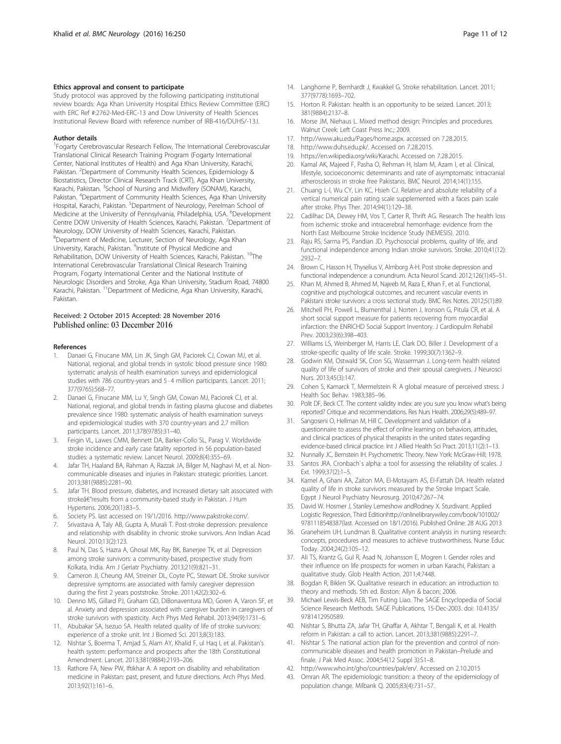## <span id="page-12-0"></span>Ethics approval and consent to participate

Study protocol was approved by the following participating institutional review boards: Aga Khan University Hospital Ethics Review Committee (ERC) with ERC Ref #:2762-Med-ERC-13 and Dow University of Health Sciences Institutional Review Board with reference number of IRB-416/DUHS/-13.I.

### Author details

1 Fogarty Cerebrovascular Research Fellow, The International Cerebrovascular Translational Clinical Research Training Program (Fogarty International Center, National Institutes of Health) and Aga Khan University, Karachi, Pakistan. <sup>2</sup>Department of Community Health Sciences, Epidemiology & Biostatistics, Director Clinical Research Track (CRT), Aga Khan University, Karachi, Pakistan. <sup>3</sup>School of Nursing and Midwifery (SONAM), Karachi, Pakistan. <sup>4</sup>Department of Community Health Sciences, Aga Khan University Hospital, Karachi, Pakistan. <sup>5</sup>Department of Neurology, Perelman School of Medicine at the University of Pennsylvania, Philadelphia, USA. <sup>6</sup>Development Centre DOW University of Health Sciences, Karachi, Pakistan. <sup>7</sup>Department of Neurology, DOW University of Health Sciences, Karachi, Pakistan. 8 Department of Medicine, Lecturer, Section of Neurology, Aga Khan University, Karachi, Pakistan. <sup>9</sup>Institute of Physical Medicine and Rehabilitation, DOW University of Health Sciences, Karachi, Pakistan. <sup>10</sup>The International Cerebrovascular Translational Clinical Research Training Program, Fogarty International Center and the National Institute of Neurologic Disorders and Stroke, Aga Khan University, Stadium Road, 74800 Karachi, Pakistan. 11Department of Medicine, Aga Khan University, Karachi, Pakistan.

## Received: 2 October 2015 Accepted: 28 November 2016 Published online: 03 December 2016

#### References

- Danaei G, Finucane MM, Lin JK, Singh GM, Paciorek CJ, Cowan MJ, et al. National, regional, and global trends in systolic blood pressure since 1980: systematic analysis of health examination surveys and epidemiological studies with 786 country-years and 5 · 4 million participants. Lancet. 2011; 377(9765):568–77.
- 2. Danaei G, Finucane MM, Lu Y, Singh GM, Cowan MJ, Paciorek CJ, et al. National, regional, and global trends in fasting plasma glucose and diabetes prevalence since 1980: systematic analysis of health examination surveys and epidemiological studies with 370 country-years and 2.7 million participants. Lancet. 2011;378(9785):31–40.
- 3. Feigin VL, Lawes CMM, Bennett DA, Barker-Collo SL, Parag V. Worldwide stroke incidence and early case fatality reported in 56 population-based studies: a systematic review. Lancet Neurol. 2009;8(4):355–69.
- 4. Jafar TH, Haaland BA, Rahman A, Razzak JA, Bilger M, Naghavi M, et al. Noncommunicable diseases and injuries in Pakistan: strategic priorities. Lancet. 2013;381(9885):2281–90.
- Jafar TH. Blood pressure, diabetes, and increased dietary salt associated with strokeâ€"results from a community-based study in Pakistan. J Hum Hypertens. 2006;20(1):83–5.
- 6. Society PS. last accessed on 19/1/2016. [http://www.pakstroke.com/.](http://www.pakstroke.com/)
- 7. Srivastava A, Taly AB, Gupta A, Murali T. Post-stroke depression: prevalence and relationship with disability in chronic stroke survivors. Ann Indian Acad Neurol. 2010;13(2):123.
- Paul N, Das S, Hazra A, Ghosal MK, Ray BK, Banerjee TK, et al. Depression among stroke survivors: a community-based, prospective study from Kolkata, India. Am J Geriatr Psychiatry. 2013;21(9):821–31.
- 9. Cameron JI, Cheung AM, Streiner DL, Coyte PC, Stewart DE. Stroke survivor depressive symptoms are associated with family caregiver depression during the first 2 years poststroke. Stroke. 2011;42(2):302–6.
- 10. Denno MS, Gillard PJ, Graham GD, DiBonaventura MD, Goren A, Varon SF, et al. Anxiety and depression associated with caregiver burden in caregivers of stroke survivors with spasticity. Arch Phys Med Rehabil. 2013;94(9):1731–6.
- 11. Abubakar SA, Isezuo SA. Health related quality of life of stroke survivors: experience of a stroke unit. Int J Biomed Sci. 2013;8(3):183.
- 12. Nishtar S, Boerma T, Amjad S, Alam AY, Khalid F, ul Haq I, et al. Pakistan's health system: performance and prospects after the 18th Constitutional Amendment. Lancet. 2013;381(9884):2193–206.
- 13. Rathore FA, New PW, Iftikhar A. A report on disability and rehabilitation medicine in Pakistan: past, present, and future directions. Arch Phys Med. 2013;92(1):161–6.
- 14. Langhorne P, Bernhardt J, Kwakkel G. Stroke rehabilitation. Lancet. 2011; 377(9778):1693–702.
- 15. Horton R. Pakistan: health is an opportunity to be seized. Lancet. 2013; 381(9884):2137–8.
- 16. Morse JM, Niehaus L. Mixed method design: Principles and procedures. Walnut Creek: Left Coast Press Inc.; 2009.
- 17.<http://www.aku.edu/Pages/home.aspx>. accessed on 7.28.2015.
- 18. [http://www.duhs.edu.pk/.](http://www.duhs.edu.pk/) Accessed on 7.28.2015.
- 19. [https://en.wikipedia.org/wiki/Karachi.](https://en.wikipedia.org/wiki/Karachi) Accessed on 7.28.2015.
- 20. Kamal AK, Majeed F, Pasha O, Rehman H, Islam M, Azam I, et al. Clinical, lifestyle, socioeconomic determinants and rate of asymptomatic intracranial atherosclerosis in stroke free Pakistanis. BMC Neurol. 2014;14(1):155.
- 21. Chuang L-l, Wu CY, Lin KC, Hsieh CJ. Relative and absolute reliability of a vertical numerical pain rating scale supplemented with a faces pain scale after stroke. Phys Ther. 2014;94(1):129–38.
- 22. Cadilhac DA, Dewey HM, Vos T, Carter R, Thrift AG. Research The health loss from ischemic stroke and intracerebral hemorrhage: evidence from the North East Melbourne Stroke Incidence Study (NEMESIS). 2010.
- 23. Raju RS, Sarma PS, Pandian JD. Psychosocial problems, quality of life, and functional independence among Indian stroke survivors. Stroke. 2010;41(12): 2932–7.
- 24. Brown C, Hasson H, Thyselius V, Almborg A-H. Post stroke depression and functional independence: a conundrum. Acta Neurol Scand. 2012;126(1):45–51.
- 25. Khan M, Ahmed B, Ahmed M, Najeeb M, Raza E, Khan F, et al. Functional, cognitive and psychological outcomes, and recurrent vascular events in Pakistani stroke survivors: a cross sectional study. BMC Res Notes. 2012;5(1):89.
- 26. Mitchell PH, Powell L, Blumenthal J, Norten J, Ironson G, Pitula CR, et al. A short social support measure for patients recovering from myocardial infarction: the ENRICHD Social Support Inventory. J Cardiopulm Rehabil Prev. 2003;23(6):398–403.
- 27. Williams LS, Weinberger M, Harris LE, Clark DO, Biller J. Development of a stroke-specific quality of life scale. Stroke. 1999;30(7):1362–9.
- 28. Godwin KM, Ostwald SK, Cron SG, Wasserman J. Long-term health related quality of life of survivors of stroke and their spousal caregivers. J Neurosci Nurs. 2013;45(3):147.
- 29. Cohen S, Kamarck T, Mermelstein R. A global measure of perceived stress. J Health Soc Behav. 1983;385–96.
- 30. Polit DF, Beck CT. The content validity index: are you sure you know what's being reported? Critique and recommendations. Res Nurs Health. 2006;29(5):489–97.
- 31. Sangoseni O, Hellman M, Hill C. Development and validation of a questionnaire to assess the effect of online learning on behaviors, attitudes, and clinical practices of physical therapists in the united states regarding evidence-based clinical practice. Int J Allied Health Sci Pract. 2013;11(2):1–13.
- 32. Nunnally JC, Bernstein IH. Psychometric Theory. New York: McGraw-Hill; 1978.
- 33. Santos JRA. Cronbach`s alpha: a tool for assessing the reliability of scales. J Ext. 1999;37(2):1–5.
- 34. Kamel A, Ghani AA, Zaiton MA, El-Motayam AS, El-Fattah DA. Health related quality of life in stroke survivors measured by the Stroke Impact Scale. Egypt J Neurol Psychiatry Neurosurg. 2010;47:267–74.
- David W. Hosmer J, Stanley Lemeshow andRodney X. Sturdivant. Applied Logistic Regression, Third Editio[nhttp://onlinelibrarywiley.com/book/101002/](http://onlinelibrarywiley.com/book/101002/9781118548387(last) [9781118548387\(last.](http://onlinelibrarywiley.com/book/101002/9781118548387(last) Accessed on 18/1/2016). Published Online: 28 AUG 2013
- 36. Graneheim UH, Lundman B. Qualitative content analysis in nursing research: concepts, procedures and measures to achieve trustworthiness. Nurse Educ Today. 2004;24(2):105–12.
- 37. Ali TS, Krantz G, Gul R, Asad N, Johansson E, Mogren I. Gender roles and their influence on life prospects for women in urban Karachi, Pakistan: a qualitative study. Glob Health Action. 2011;4:7448.
- 38. Bogdan R, Biklen SK. Qualitative research in education: an introduction to theory and methods. 5th ed. Boston: Allyn & bacon; 2006.
- 39. Michael Lewis-Beck AEB, Tim Futing Liao. The SAGE Encyclopedia of Social Science Research Methods. SAGE Publications, 15-Dec-2003. doi: [10.4135/](http://dx.doi.org/10.4135/9781412950589) [9781412950589](http://dx.doi.org/10.4135/9781412950589).
- 40. Nishtar S, Bhutta ZA, Jafar TH, Ghaffar A, Akhtar T, Bengali K, et al. Health reform in Pakistan: a call to action. Lancet. 2013;381(9885):2291–7.
- 41. Nishtar S. The national action plan for the prevention and control of noncommunicable diseases and health promotion in Pakistan–Prelude and finale. J Pak Med Assoc. 2004;54(12 Suppl 3):S1–8.
- 42. [http://www.who.int/gho/countries/pak/en/.](http://www.who.int/gho/countries/pak/en/) Accessed on 2.10.2015
- 43. Omran AR. The epidemiologic transition: a theory of the epidemiology of population change. Milbank Q. 2005;83(4):731–57.